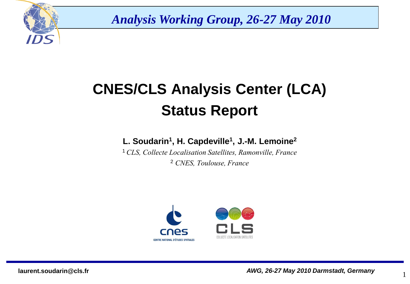

*Analysis Working Group, 26-27 May 2010*

# **CNES/CLS Analysis Center (LCA) Status Report**

#### **L. Soudarin<sup>1</sup> , H. Capdeville<sup>1</sup> , J.-M. Lemoine<sup>2</sup>**

<sup>1</sup>*CLS, Collecte Localisation Satellites, Ramonville, France* <sup>2</sup> *CNES, Toulouse, France*



1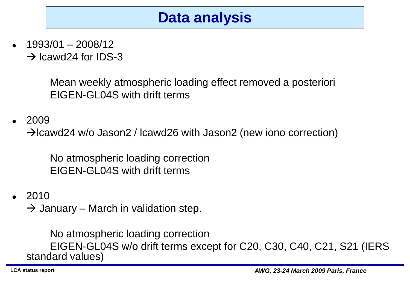# **Data analysis**

 1993/01 – 2008/12  $\rightarrow$  Icawd24 for IDS-3

> Mean weekly atmospheric loading effect removed a posteriori EIGEN-GL04S with drift terms

2009

 $\rightarrow$ Icawd24 w/o Jason2 / Icawd26 with Jason2 (new iono correction)

No atmospheric loading correction EIGEN-GL04S with drift terms

 $\cdot$  2010

 $\rightarrow$  January – March in validation step.

No atmospheric loading correction EIGEN-GL04S w/o drift terms except for C20, C30, C40, C21, S21 (IERS standard values)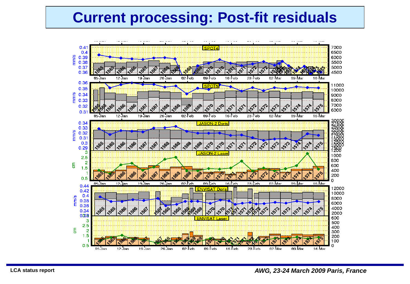## **Current processing: Post-fit residuals**

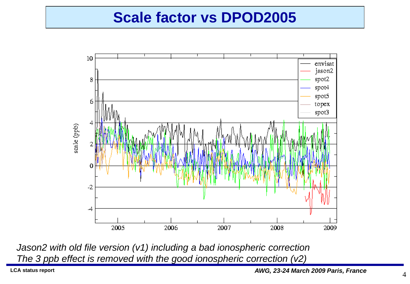### **Scale factor vs DPOD2005**



*Jason2 with old file version (v1) including a bad ionospheric correction The 3 ppb effect is removed with the good ionospheric correction (v2)*

**LCA status report** *AWG, 23-24 March 2009 Paris, France*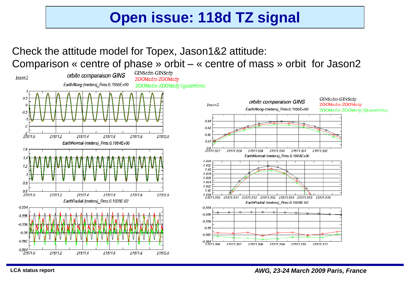# **Open issue: 118d TZ signal**

### Check the attitude model for Topex, Jason1&2 attitude: Comparison « centre of phase » orbit – « centre of mass » orbit for Jason2